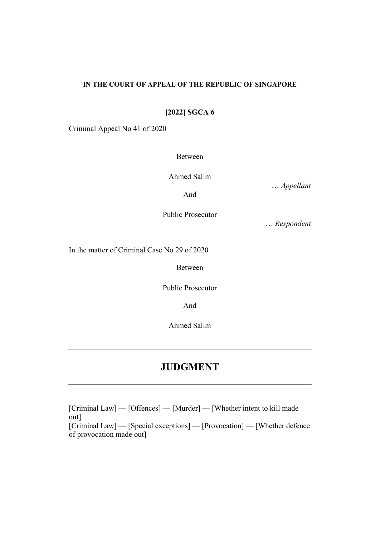#### **IN THE COURT OF APPEAL OF THE REPUBLIC OF SINGAPORE**

**[2022] SGCA 6**

Criminal Appeal No 41 of 2020

Between

Ahmed Salim

… *Appellant*

And

Public Prosecutor

… *Respondent*

In the matter of Criminal Case No 29 of 2020

Between

Public Prosecutor

And

Ahmed Salim

# **JUDGMENT**

[Criminal Law] — [Offences] — [Murder] — [Whether intent to kill made out] [Criminal Law] — [Special exceptions] — [Provocation] — [Whether defence of provocation made out]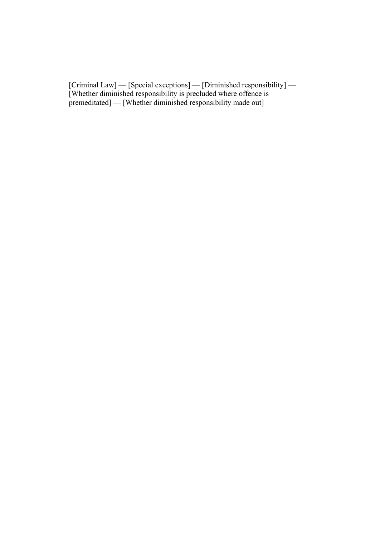[Criminal Law] — [Special exceptions] — [Diminished responsibility] — [Whether diminished responsibility is precluded where offence is premeditated] — [Whether diminished responsibility made out]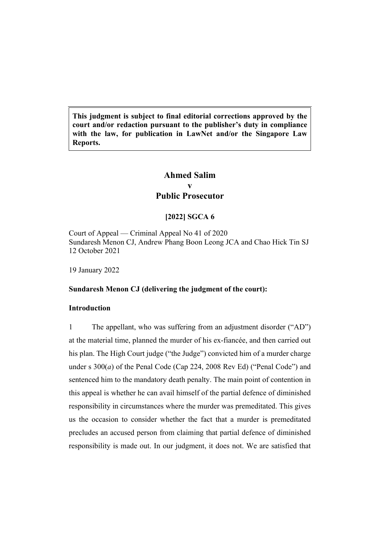**This judgment is subject to final editorial corrections approved by the court and/or redaction pursuant to the publisher's duty in compliance with the law, for publication in LawNet and/or the Singapore Law Reports.**

## **Ahmed Salim v Public Prosecutor**

## **[2022] SGCA 6**

Court of Appeal — Criminal Appeal No 41 of 2020 Sundaresh Menon CJ, Andrew Phang Boon Leong JCA and Chao Hick Tin SJ 12 October 2021

19 January 2022

## **Sundaresh Menon CJ (delivering the judgment of the court):**

### **Introduction**

1 The appellant, who was suffering from an adjustment disorder ("AD") at the material time, planned the murder of his ex-fiancée, and then carried out his plan. The High Court judge ("the Judge") convicted him of a murder charge under s 300(*a*) of the Penal Code (Cap 224, 2008 Rev Ed) ("Penal Code") and sentenced him to the mandatory death penalty. The main point of contention in this appeal is whether he can avail himself of the partial defence of diminished responsibility in circumstances where the murder was premeditated. This gives us the occasion to consider whether the fact that a murder is premeditated precludes an accused person from claiming that partial defence of diminished responsibility is made out. In our judgment, it does not. We are satisfied that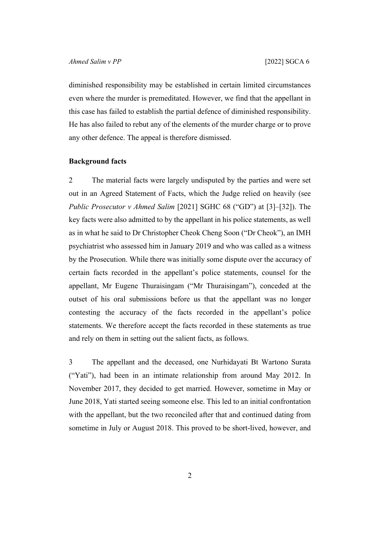diminished responsibility may be established in certain limited circumstances even where the murder is premeditated. However, we find that the appellant in this case has failed to establish the partial defence of diminished responsibility. He has also failed to rebut any of the elements of the murder charge or to prove any other defence. The appeal is therefore dismissed.

#### <span id="page-3-0"></span>**Background facts**

2 The material facts were largely undisputed by the parties and were set out in an Agreed Statement of Facts, which the Judge relied on heavily (see *Public Prosecutor v Ahmed Salim* [2021] SGHC 68 ("GD") at [3]–[32]). The key facts were also admitted to by the appellant in his police statements, as well as in what he said to Dr Christopher Cheok Cheng Soon ("Dr Cheok"), an IMH psychiatrist who assessed him in January 2019 and who was called as a witness by the Prosecution. While there was initially some dispute over the accuracy of certain facts recorded in the appellant's police statements, counsel for the appellant, Mr Eugene Thuraisingam ("Mr Thuraisingam"), conceded at the outset of his oral submissions before us that the appellant was no longer contesting the accuracy of the facts recorded in the appellant's police statements. We therefore accept the facts recorded in these statements as true and rely on them in setting out the salient facts, as follows.

<span id="page-3-1"></span>3 The appellant and the deceased, one Nurhidayati Bt Wartono Surata ("Yati"), had been in an intimate relationship from around May 2012. In November 2017, they decided to get married. However, sometime in May or June 2018, Yati started seeing someone else. This led to an initial confrontation with the appellant, but the two reconciled after that and continued dating from sometime in July or August 2018. This proved to be short-lived, however, and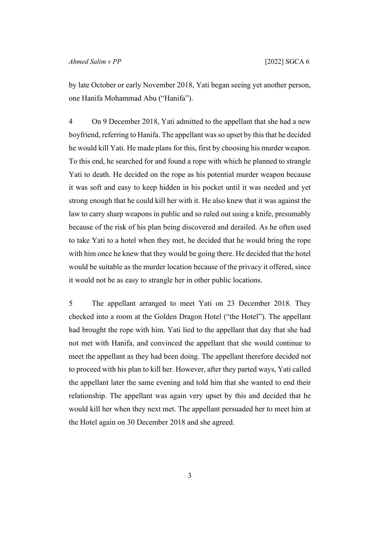by late October or early November 2018, Yati began seeing yet another person, one Hanifa Mohammad Abu ("Hanifa").

4 On 9 December 2018, Yati admitted to the appellant that she had a new boyfriend, referring to Hanifa. The appellant was so upset by this that he decided he would kill Yati. He made plans for this, first by choosing his murder weapon. To this end, he searched for and found a rope with which he planned to strangle Yati to death. He decided on the rope as his potential murder weapon because it was soft and easy to keep hidden in his pocket until it was needed and yet strong enough that he could kill her with it. He also knew that it was against the law to carry sharp weapons in public and so ruled out using a knife, presumably because of the risk of his plan being discovered and derailed. As he often used to take Yati to a hotel when they met, he decided that he would bring the rope with him once he knew that they would be going there. He decided that the hotel would be suitable as the murder location because of the privacy it offered, since it would not be as easy to strangle her in other public locations.

5 The appellant arranged to meet Yati on 23 December 2018. They checked into a room at the Golden Dragon Hotel ("the Hotel"). The appellant had brought the rope with him. Yati lied to the appellant that day that she had not met with Hanifa, and convinced the appellant that she would continue to meet the appellant as they had been doing. The appellant therefore decided not to proceed with his plan to kill her. However, after they parted ways, Yati called the appellant later the same evening and told him that she wanted to end their relationship. The appellant was again very upset by this and decided that he would kill her when they next met. The appellant persuaded her to meet him at the Hotel again on 30 December 2018 and she agreed.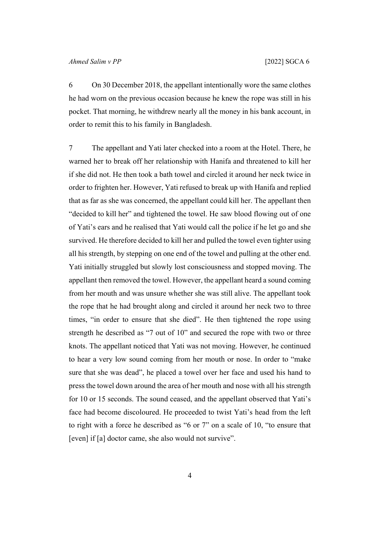6 On 30 December 2018, the appellant intentionally wore the same clothes he had worn on the previous occasion because he knew the rope was still in his pocket. That morning, he withdrew nearly all the money in his bank account, in order to remit this to his family in Bangladesh.

<span id="page-5-0"></span>7 The appellant and Yati later checked into a room at the Hotel. There, he warned her to break off her relationship with Hanifa and threatened to kill her if she did not. He then took a bath towel and circled it around her neck twice in order to frighten her. However, Yati refused to break up with Hanifa and replied that as far as she was concerned, the appellant could kill her. The appellant then "decided to kill her" and tightened the towel. He saw blood flowing out of one of Yati's ears and he realised that Yati would call the police if he let go and she survived. He therefore decided to kill her and pulled the towel even tighter using all his strength, by stepping on one end of the towel and pulling at the other end. Yati initially struggled but slowly lost consciousness and stopped moving. The appellant then removed the towel. However, the appellant heard a sound coming from her mouth and was unsure whether she was still alive. The appellant took the rope that he had brought along and circled it around her neck two to three times, "in order to ensure that she died". He then tightened the rope using strength he described as "7 out of 10" and secured the rope with two or three knots. The appellant noticed that Yati was not moving. However, he continued to hear a very low sound coming from her mouth or nose. In order to "make sure that she was dead", he placed a towel over her face and used his hand to press the towel down around the area of her mouth and nose with all his strength for 10 or 15 seconds. The sound ceased, and the appellant observed that Yati's face had become discoloured. He proceeded to twist Yati's head from the left to right with a force he described as "6 or 7" on a scale of 10, "to ensure that [even] if [a] doctor came, she also would not survive".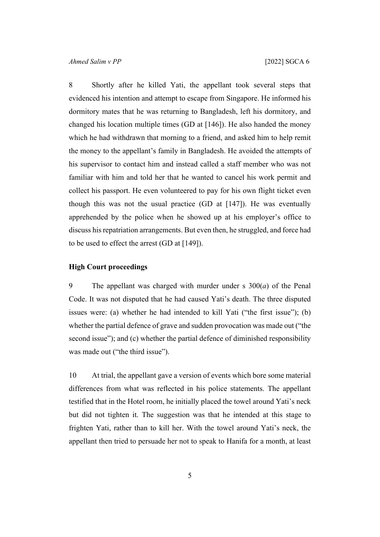<span id="page-6-0"></span>8 Shortly after he killed Yati, the appellant took several steps that evidenced his intention and attempt to escape from Singapore. He informed his dormitory mates that he was returning to Bangladesh, left his dormitory, and changed his location multiple times (GD at [146]). He also handed the money which he had withdrawn that morning to a friend, and asked him to help remit the money to the appellant's family in Bangladesh. He avoided the attempts of his supervisor to contact him and instead called a staff member who was not familiar with him and told her that he wanted to cancel his work permit and collect his passport. He even volunteered to pay for his own flight ticket even though this was not the usual practice  $(GD \t{at} [147])$ . He was eventually apprehended by the police when he showed up at his employer's office to discuss his repatriation arrangements. But even then, he struggled, and force had to be used to effect the arrest (GD at [149]).

#### **High Court proceedings**

9 The appellant was charged with murder under s 300(*a*) of the Penal Code. It was not disputed that he had caused Yati's death. The three disputed issues were: (a) whether he had intended to kill Yati ("the first issue"); (b) whether the partial defence of grave and sudden provocation was made out ("the second issue"); and (c) whether the partial defence of diminished responsibility was made out ("the third issue").

10 At trial, the appellant gave a version of events which bore some material differences from what was reflected in his police statements. The appellant testified that in the Hotel room, he initially placed the towel around Yati's neck but did not tighten it. The suggestion was that he intended at this stage to frighten Yati, rather than to kill her. With the towel around Yati's neck, the appellant then tried to persuade her not to speak to Hanifa for a month, at least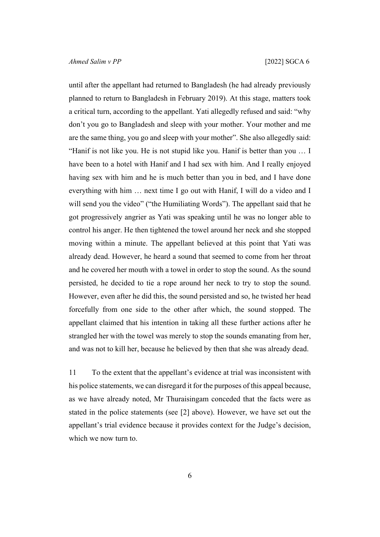until after the appellant had returned to Bangladesh (he had already previously planned to return to Bangladesh in February 2019). At this stage, matters took a critical turn, according to the appellant. Yati allegedly refused and said: "why don't you go to Bangladesh and sleep with your mother. Your mother and me are the same thing, you go and sleep with your mother". She also allegedly said: "Hanif is not like you. He is not stupid like you. Hanif is better than you … I have been to a hotel with Hanif and I had sex with him. And I really enjoyed having sex with him and he is much better than you in bed, and I have done everything with him … next time I go out with Hanif, I will do a video and I will send you the video" ("the Humiliating Words"). The appellant said that he got progressively angrier as Yati was speaking until he was no longer able to control his anger. He then tightened the towel around her neck and she stopped moving within a minute. The appellant believed at this point that Yati was already dead. However, he heard a sound that seemed to come from her throat and he covered her mouth with a towel in order to stop the sound. As the sound persisted, he decided to tie a rope around her neck to try to stop the sound. However, even after he did this, the sound persisted and so, he twisted her head forcefully from one side to the other after which, the sound stopped. The appellant claimed that his intention in taking all these further actions after he strangled her with the towel was merely to stop the sounds emanating from her, and was not to kill her, because he believed by then that she was already dead.

11 To the extent that the appellant's evidence at trial was inconsistent with his police statements, we can disregard it for the purposes of this appeal because, as we have already noted, Mr Thuraisingam conceded that the facts were as stated in the police statements (see [\[2](#page-3-0)] above). However, we have set out the appellant's trial evidence because it provides context for the Judge's decision, which we now turn to.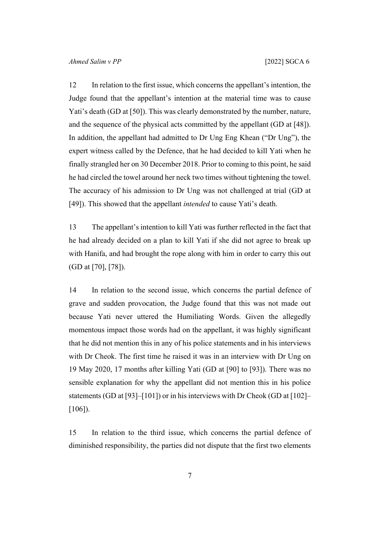12 In relation to the first issue, which concerns the appellant's intention, the Judge found that the appellant's intention at the material time was to cause Yati's death (GD at [50]). This was clearly demonstrated by the number, nature, and the sequence of the physical acts committed by the appellant (GD at [48]). In addition, the appellant had admitted to Dr Ung Eng Khean ("Dr Ung"), the expert witness called by the Defence, that he had decided to kill Yati when he finally strangled her on 30 December 2018. Prior to coming to this point, he said he had circled the towel around her neck two times without tightening the towel. The accuracy of his admission to Dr Ung was not challenged at trial (GD at [49]). This showed that the appellant *intended* to cause Yati's death.

13 The appellant's intention to kill Yati was further reflected in the fact that he had already decided on a plan to kill Yati if she did not agree to break up with Hanifa, and had brought the rope along with him in order to carry this out (GD at [70], [78]).

14 In relation to the second issue, which concerns the partial defence of grave and sudden provocation, the Judge found that this was not made out because Yati never uttered the Humiliating Words. Given the allegedly momentous impact those words had on the appellant, it was highly significant that he did not mention this in any of his police statements and in his interviews with Dr Cheok. The first time he raised it was in an interview with Dr Ung on 19 May 2020, 17 months after killing Yati (GD at [90] to [93]). There was no sensible explanation for why the appellant did not mention this in his police statements (GD at [93]–[101]) or in his interviews with Dr Cheok (GD at [102]– [106]).

15 In relation to the third issue, which concerns the partial defence of diminished responsibility, the parties did not dispute that the first two elements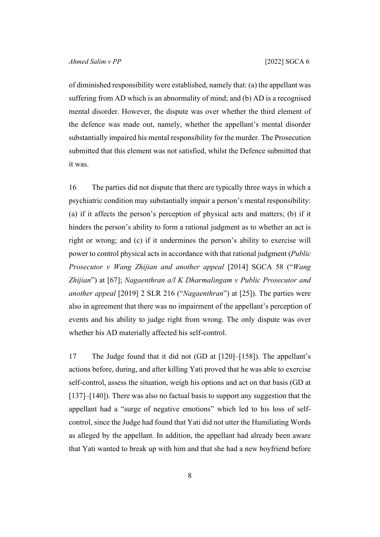of diminished responsibility were established, namely that: (a) the appellant was suffering from AD which is an abnormality of mind; and (b) AD is a recognised mental disorder. However, the dispute was over whether the third element of the defence was made out, namely, whether the appellant's mental disorder substantially impaired his mental responsibility for the murder. The Prosecution submitted that this element was not satisfied, whilst the Defence submitted that it was.

<span id="page-9-0"></span>16 The parties did not dispute that there are typically three ways in which a psychiatric condition may substantially impair a person's mental responsibility: (a) if it affects the person's perception of physical acts and matters; (b) if it hinders the person's ability to form a rational judgment as to whether an act is right or wrong; and (c) if it undermines the person's ability to exercise will power to control physical acts in accordance with that rational judgment (*Public Prosecutor v Wang Zhijian and another appeal* [2014] SGCA 58 ("*Wang Zhijian*") at [67]; *Nagaenthran a/l K Dharmalingam v Public Prosecutor and another appeal* [2019] 2 SLR 216 ("*Nagaenthran*") at [25]). The parties were also in agreement that there was no impairment of the appellant's perception of events and his ability to judge right from wrong. The only dispute was over whether his AD materially affected his self-control.

17 The Judge found that it did not (GD at [120]–[158]). The appellant's actions before, during, and after killing Yati proved that he was able to exercise self-control, assess the situation, weigh his options and act on that basis (GD at [137]–[140]). There was also no factual basis to support any suggestion that the appellant had a "surge of negative emotions" which led to his loss of selfcontrol, since the Judge had found that Yati did not utter the Humiliating Words as alleged by the appellant. In addition, the appellant had already been aware that Yati wanted to break up with him and that she had a new boyfriend before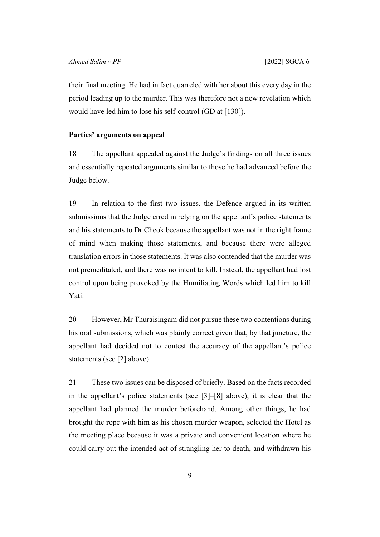their final meeting. He had in fact quarreled with her about this every day in the period leading up to the murder. This was therefore not a new revelation which would have led him to lose his self-control (GD at [130]).

#### **Parties' arguments on appeal**

18 The appellant appealed against the Judge's findings on all three issues and essentially repeated arguments similar to those he had advanced before the Judge below.

19 In relation to the first two issues, the Defence argued in its written submissions that the Judge erred in relying on the appellant's police statements and his statements to Dr Cheok because the appellant was not in the right frame of mind when making those statements, and because there were alleged translation errors in those statements. It was also contended that the murder was not premeditated, and there was no intent to kill. Instead, the appellant had lost control upon being provoked by the Humiliating Words which led him to kill Yati.

20 However, Mr Thuraisingam did not pursue these two contentions during his oral submissions, which was plainly correct given that, by that juncture, the appellant had decided not to contest the accuracy of the appellant's police statements (see [[2\]](#page-3-0) above).

21 These two issues can be disposed of briefly. Based on the facts recorded in the appellant's police statements (see [[3\]](#page-3-1)–[[8\]](#page-6-0) above), it is clear that the appellant had planned the murder beforehand. Among other things, he had brought the rope with him as his chosen murder weapon, selected the Hotel as the meeting place because it was a private and convenient location where he could carry out the intended act of strangling her to death, and withdrawn his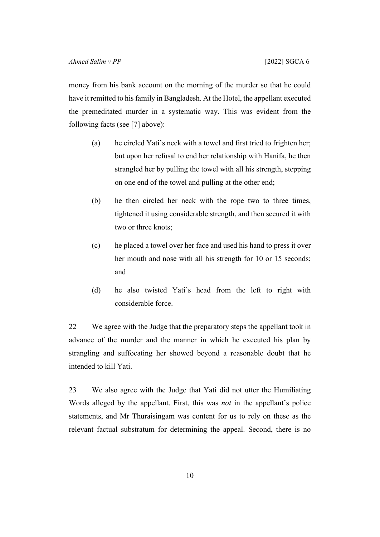money from his bank account on the morning of the murder so that he could have it remitted to his family in Bangladesh. At the Hotel, the appellant executed the premeditated murder in a systematic way. This was evident from the following facts (see [[7\]](#page-5-0) above):

- (a) he circled Yati's neck with a towel and first tried to frighten her; but upon her refusal to end her relationship with Hanifa, he then strangled her by pulling the towel with all his strength, stepping on one end of the towel and pulling at the other end;
- (b) he then circled her neck with the rope two to three times, tightened it using considerable strength, and then secured it with two or three knots;
- (c) he placed a towel over her face and used his hand to press it over her mouth and nose with all his strength for 10 or 15 seconds; and
- (d) he also twisted Yati's head from the left to right with considerable force.

22 We agree with the Judge that the preparatory steps the appellant took in advance of the murder and the manner in which he executed his plan by strangling and suffocating her showed beyond a reasonable doubt that he intended to kill Yati.

23 We also agree with the Judge that Yati did not utter the Humiliating Words alleged by the appellant. First, this was *not* in the appellant's police statements, and Mr Thuraisingam was content for us to rely on these as the relevant factual substratum for determining the appeal. Second, there is no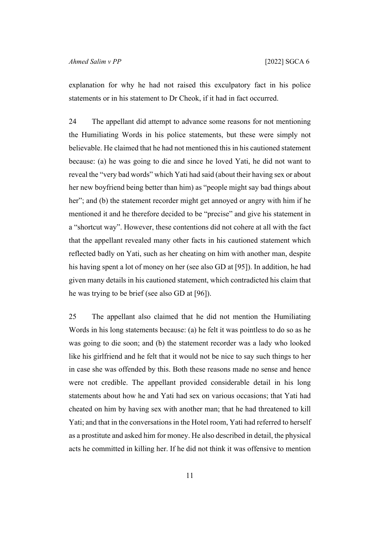explanation for why he had not raised this exculpatory fact in his police statements or in his statement to Dr Cheok, if it had in fact occurred.

24 The appellant did attempt to advance some reasons for not mentioning the Humiliating Words in his police statements, but these were simply not believable. He claimed that he had not mentioned this in his cautioned statement because: (a) he was going to die and since he loved Yati, he did not want to reveal the "very bad words" which Yati had said (about their having sex or about her new boyfriend being better than him) as "people might say bad things about her"; and (b) the statement recorder might get annoyed or angry with him if he mentioned it and he therefore decided to be "precise" and give his statement in a "shortcut way". However, these contentions did not cohere at all with the fact that the appellant revealed many other facts in his cautioned statement which reflected badly on Yati, such as her cheating on him with another man, despite his having spent a lot of money on her (see also GD at [95]). In addition, he had given many details in his cautioned statement, which contradicted his claim that he was trying to be brief (see also GD at [96]).

25 The appellant also claimed that he did not mention the Humiliating Words in his long statements because: (a) he felt it was pointless to do so as he was going to die soon; and (b) the statement recorder was a lady who looked like his girlfriend and he felt that it would not be nice to say such things to her in case she was offended by this. Both these reasons made no sense and hence were not credible. The appellant provided considerable detail in his long statements about how he and Yati had sex on various occasions; that Yati had cheated on him by having sex with another man; that he had threatened to kill Yati; and that in the conversations in the Hotel room, Yati had referred to herself as a prostitute and asked him for money. He also described in detail, the physical acts he committed in killing her. If he did not think it was offensive to mention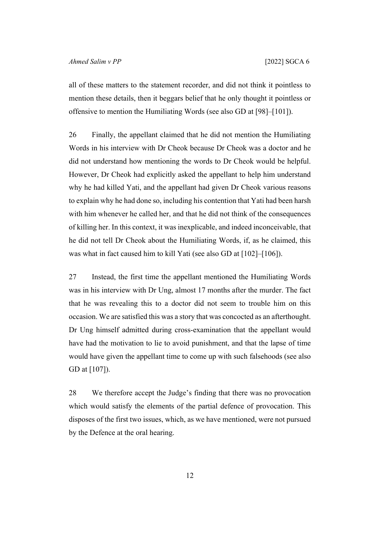all of these matters to the statement recorder, and did not think it pointless to mention these details, then it beggars belief that he only thought it pointless or offensive to mention the Humiliating Words (see also GD at [98]–[101]).

26 Finally, the appellant claimed that he did not mention the Humiliating Words in his interview with Dr Cheok because Dr Cheok was a doctor and he did not understand how mentioning the words to Dr Cheok would be helpful. However, Dr Cheok had explicitly asked the appellant to help him understand why he had killed Yati, and the appellant had given Dr Cheok various reasons to explain why he had done so, including his contention that Yati had been harsh with him whenever he called her, and that he did not think of the consequences of killing her. In this context, it was inexplicable, and indeed inconceivable, that he did not tell Dr Cheok about the Humiliating Words, if, as he claimed, this was what in fact caused him to kill Yati (see also GD at [102]–[106]).

27 Instead, the first time the appellant mentioned the Humiliating Words was in his interview with Dr Ung, almost 17 months after the murder. The fact that he was revealing this to a doctor did not seem to trouble him on this occasion. We are satisfied this was a story that was concocted as an afterthought. Dr Ung himself admitted during cross-examination that the appellant would have had the motivation to lie to avoid punishment, and that the lapse of time would have given the appellant time to come up with such falsehoods (see also GD at [107]).

28 We therefore accept the Judge's finding that there was no provocation which would satisfy the elements of the partial defence of provocation. This disposes of the first two issues, which, as we have mentioned, were not pursued by the Defence at the oral hearing.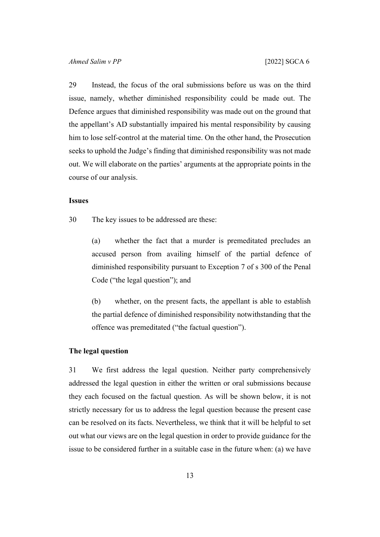29 Instead, the focus of the oral submissions before us was on the third issue, namely, whether diminished responsibility could be made out. The Defence argues that diminished responsibility was made out on the ground that the appellant's AD substantially impaired his mental responsibility by causing him to lose self-control at the material time. On the other hand, the Prosecution seeks to uphold the Judge's finding that diminished responsibility was not made out. We will elaborate on the parties' arguments at the appropriate points in the course of our analysis.

#### **Issues**

30 The key issues to be addressed are these:

(a) whether the fact that a murder is premeditated precludes an accused person from availing himself of the partial defence of diminished responsibility pursuant to Exception 7 of s 300 of the Penal Code ("the legal question"); and

(b) whether, on the present facts, the appellant is able to establish the partial defence of diminished responsibility notwithstanding that the offence was premeditated ("the factual question").

#### **The legal question**

31 We first address the legal question. Neither party comprehensively addressed the legal question in either the written or oral submissions because they each focused on the factual question. As will be shown below, it is not strictly necessary for us to address the legal question because the present case can be resolved on its facts. Nevertheless, we think that it will be helpful to set out what our views are on the legal question in order to provide guidance for the issue to be considered further in a suitable case in the future when: (a) we have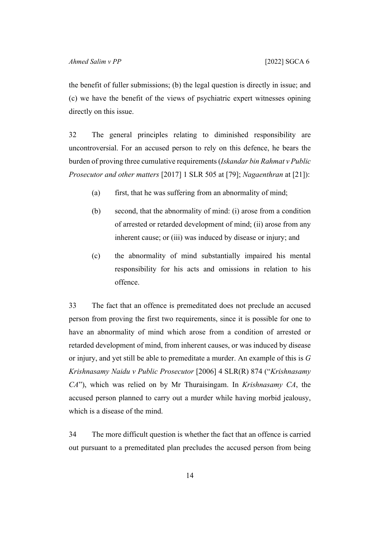the benefit of fuller submissions; (b) the legal question is directly in issue; and (c) we have the benefit of the views of psychiatric expert witnesses opining directly on this issue.

32 The general principles relating to diminished responsibility are uncontroversial. For an accused person to rely on this defence, he bears the burden of proving three cumulative requirements (*Iskandar bin Rahmat v Public Prosecutor and other matters* [2017] 1 SLR 505 at [79]; *Nagaenthran* at [21]):

- (a) first, that he was suffering from an abnormality of mind;
- (b) second, that the abnormality of mind: (i) arose from a condition of arrested or retarded development of mind; (ii) arose from any inherent cause; or (iii) was induced by disease or injury; and
- (c) the abnormality of mind substantially impaired his mental responsibility for his acts and omissions in relation to his offence.

33 The fact that an offence is premeditated does not preclude an accused person from proving the first two requirements, since it is possible for one to have an abnormality of mind which arose from a condition of arrested or retarded development of mind, from inherent causes, or was induced by disease or injury, and yet still be able to premeditate a murder. An example of this is *G Krishnasamy Naidu v Public Prosecutor* [2006] 4 SLR(R) 874 ("*Krishnasamy CA*"), which was relied on by Mr Thuraisingam. In *Krishnasamy CA*, the accused person planned to carry out a murder while having morbid jealousy, which is a disease of the mind.

<span id="page-15-0"></span>34 The more difficult question is whether the fact that an offence is carried out pursuant to a premeditated plan precludes the accused person from being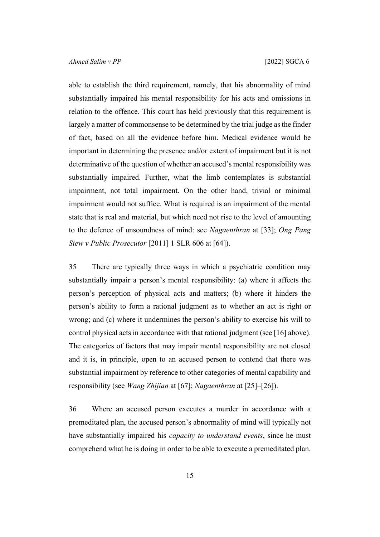able to establish the third requirement, namely, that his abnormality of mind substantially impaired his mental responsibility for his acts and omissions in relation to the offence. This court has held previously that this requirement is largely a matter of commonsense to be determined by the trial judge as the finder of fact, based on all the evidence before him. Medical evidence would be important in determining the presence and/or extent of impairment but it is not determinative of the question of whether an accused's mental responsibility was substantially impaired. Further, what the limb contemplates is substantial impairment, not total impairment. On the other hand, trivial or minimal impairment would not suffice. What is required is an impairment of the mental state that is real and material, but which need not rise to the level of amounting to the defence of unsoundness of mind: see *Nagaenthran* at [33]; *Ong Pang Siew v Public Prosecutor* [2011] 1 SLR 606 at [64]).

35 There are typically three ways in which a psychiatric condition may substantially impair a person's mental responsibility: (a) where it affects the person's perception of physical acts and matters; (b) where it hinders the person's ability to form a rational judgment as to whether an act is right or wrong; and (c) where it undermines the person's ability to exercise his will to control physical acts in accordance with that rational judgment (see [\[16](#page-9-0)] above). The categories of factors that may impair mental responsibility are not closed and it is, in principle, open to an accused person to contend that there was substantial impairment by reference to other categories of mental capability and responsibility (see *Wang Zhijian* at [67]; *Nagaenthran* at [25]–[26]).

36 Where an accused person executes a murder in accordance with a premeditated plan, the accused person's abnormality of mind will typically not have substantially impaired his *capacity to understand events*, since he must comprehend what he is doing in order to be able to execute a premeditated plan.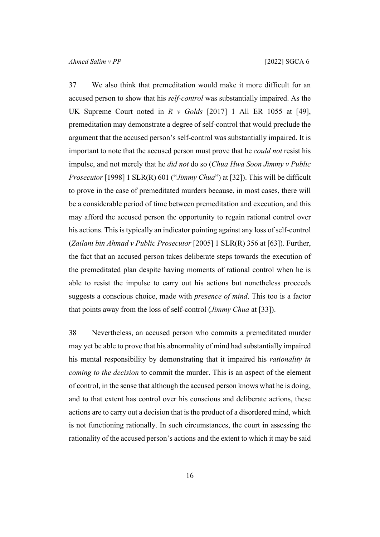<span id="page-17-0"></span>37 We also think that premeditation would make it more difficult for an accused person to show that his *self-control* was substantially impaired. As the UK Supreme Court noted in *R v Golds* [2017] 1 All ER 1055 at [49], premeditation may demonstrate a degree of self-control that would preclude the argument that the accused person's self-control was substantially impaired. It is important to note that the accused person must prove that he *could not* resist his impulse, and not merely that he *did not* do so (*Chua Hwa Soon Jimmy v Public Prosecutor* [1998] 1 SLR(R) 601 ("*Jimmy Chua*") at [32]). This will be difficult to prove in the case of premeditated murders because, in most cases, there will be a considerable period of time between premeditation and execution, and this may afford the accused person the opportunity to regain rational control over his actions. This is typically an indicator pointing against any loss of self-control (*Zailani bin Ahmad v Public Prosecutor* [2005] 1 SLR(R) 356 at [63]). Further, the fact that an accused person takes deliberate steps towards the execution of the premeditated plan despite having moments of rational control when he is able to resist the impulse to carry out his actions but nonetheless proceeds suggests a conscious choice, made with *presence of mind*. This too is a factor that points away from the loss of self-control (*Jimmy Chua* at [33]).

38 Nevertheless, an accused person who commits a premeditated murder may yet be able to prove that his abnormality of mind had substantially impaired his mental responsibility by demonstrating that it impaired his *rationality in coming to the decision* to commit the murder. This is an aspect of the element of control, in the sense that although the accused person knows what he is doing, and to that extent has control over his conscious and deliberate actions, these actions are to carry out a decision that is the product of a disordered mind, which is not functioning rationally. In such circumstances, the court in assessing the rationality of the accused person's actions and the extent to which it may be said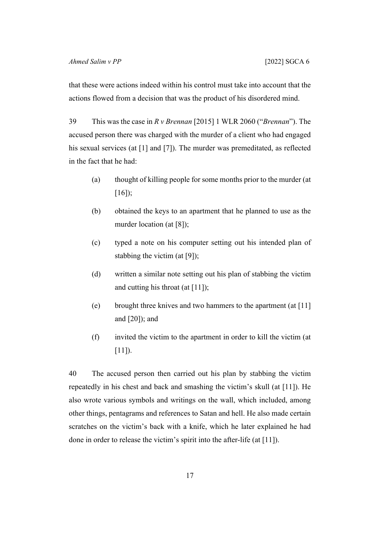that these were actions indeed within his control must take into account that the actions flowed from a decision that was the product of his disordered mind.

39 This was the case in *R v Brennan* [2015] 1 WLR 2060 ("*Brennan*"). The accused person there was charged with the murder of a client who had engaged his sexual services (at [1] and [7]). The murder was premeditated, as reflected in the fact that he had:

- (a) thought of killing people for some months prior to the murder (at [16]);
- (b) obtained the keys to an apartment that he planned to use as the murder location (at [8]);
- (c) typed a note on his computer setting out his intended plan of stabbing the victim (at [9]);
- (d) written a similar note setting out his plan of stabbing the victim and cutting his throat (at [11]);
- (e) brought three knives and two hammers to the apartment (at [11] and [20]); and
- (f) invited the victim to the apartment in order to kill the victim (at  $[11]$ ).

40 The accused person then carried out his plan by stabbing the victim repeatedly in his chest and back and smashing the victim's skull (at [11]). He also wrote various symbols and writings on the wall, which included, among other things, pentagrams and references to Satan and hell. He also made certain scratches on the victim's back with a knife, which he later explained he had done in order to release the victim's spirit into the after-life (at [11]).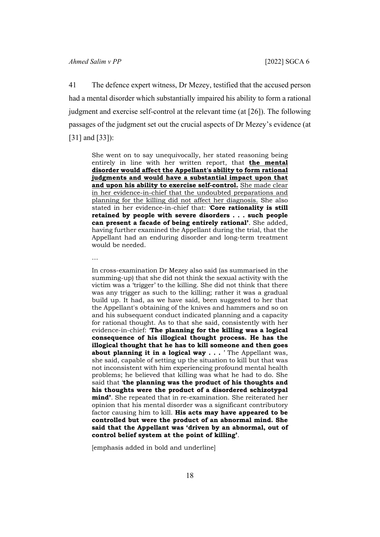41 The defence expert witness, Dr Mezey, testified that the accused person had a mental disorder which substantially impaired his ability to form a rational judgment and exercise self-control at the relevant time (at [26]). The following passages of the judgment set out the crucial aspects of Dr Mezey's evidence (at [31] and [33]):

She went on to say unequivocally, her stated reasoning being entirely in line with her written report, that **the mental disorder would affect the Appellant's ability to form rational judgments and would have a substantial impact upon that and upon his ability to exercise self-control.** She made clear in her evidence-in-chief that the undoubted preparations and planning for the killing did not affect her diagnosis. She also stated in her evidence-in-chief that: '**Core rationality is still retained by people with severe disorders . . . such people can present a facade of being entirely rational'**. She added, having further examined the Appellant during the trial, that the Appellant had an enduring disorder and long-term treatment would be needed.

…

In cross-examination Dr Mezey also said (as summarised in the summing-up) that she did not think the sexual activity with the victim was a 'trigger' to the killing. She did not think that there was any trigger as such to the killing; rather it was a gradual build up. It had, as we have said, been suggested to her that the Appellant's obtaining of the knives and hammers and so on and his subsequent conduct indicated planning and a capacity for rational thought. As to that she said, consistently with her evidence-in-chief: '**The planning for the killing was a logical consequence of his illogical thought process. He has the illogical thought that he has to kill someone and then goes about planning it in a logical way . . .** ' The Appellant was, she said, capable of setting up the situation to kill but that was not inconsistent with him experiencing profound mental health problems; he believed that killing was what he had to do. She said that '**the planning was the product of his thoughts and his thoughts were the product of a disordered schizotypal mind'**. She repeated that in re-examination. She reiterated her opinion that his mental disorder was a significant contributory factor causing him to kill. **His acts may have appeared to be controlled but were the product of an abnormal mind. She said that the Appellant was 'driven by an abnormal, out of control belief system at the point of killing'**.

[emphasis added in bold and underline]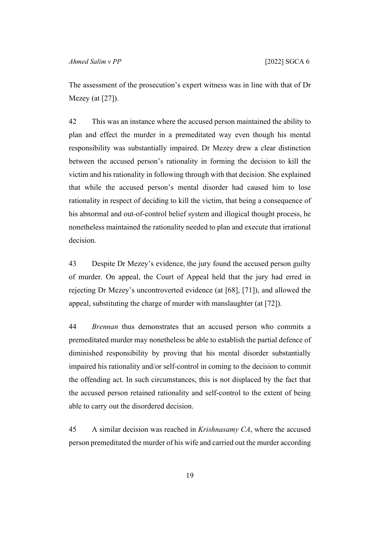The assessment of the prosecution's expert witness was in line with that of Dr Mezey (at [27]).

42 This was an instance where the accused person maintained the ability to plan and effect the murder in a premeditated way even though his mental responsibility was substantially impaired. Dr Mezey drew a clear distinction between the accused person's rationality in forming the decision to kill the victim and his rationality in following through with that decision. She explained that while the accused person's mental disorder had caused him to lose rationality in respect of deciding to kill the victim, that being a consequence of his abnormal and out-of-control belief system and illogical thought process, he nonetheless maintained the rationality needed to plan and execute that irrational decision.

43 Despite Dr Mezey's evidence, the jury found the accused person guilty of murder. On appeal, the Court of Appeal held that the jury had erred in rejecting Dr Mezey's uncontroverted evidence (at [68], [71]), and allowed the appeal, substituting the charge of murder with manslaughter (at [72]).

44 *Brennan* thus demonstrates that an accused person who commits a premeditated murder may nonetheless be able to establish the partial defence of diminished responsibility by proving that his mental disorder substantially impaired his rationality and/or self-control in coming to the decision to commit the offending act. In such circumstances, this is not displaced by the fact that the accused person retained rationality and self-control to the extent of being able to carry out the disordered decision.

45 A similar decision was reached in *Krishnasamy CA*, where the accused person premeditated the murder of his wife and carried out the murder according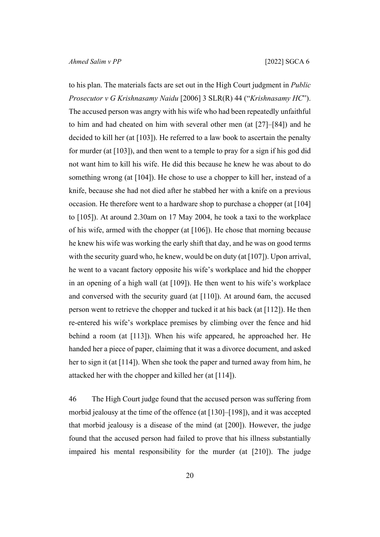to his plan. The materials facts are set out in the High Court judgment in *Public Prosecutor v G Krishnasamy Naidu* [2006] 3 SLR(R) 44 ("*Krishnasamy HC*"). The accused person was angry with his wife who had been repeatedly unfaithful to him and had cheated on him with several other men (at [27]–[84]) and he decided to kill her (at  $[103]$ ). He referred to a law book to ascertain the penalty for murder (at [103]), and then went to a temple to pray for a sign if his god did not want him to kill his wife. He did this because he knew he was about to do something wrong (at [104]). He chose to use a chopper to kill her, instead of a knife, because she had not died after he stabbed her with a knife on a previous occasion. He therefore went to a hardware shop to purchase a chopper (at [104] to [105]). At around 2.30am on 17 May 2004, he took a taxi to the workplace of his wife, armed with the chopper (at [106]). He chose that morning because he knew his wife was working the early shift that day, and he was on good terms with the security guard who, he knew, would be on duty (at  $[107]$ ). Upon arrival, he went to a vacant factory opposite his wife's workplace and hid the chopper in an opening of a high wall (at [109]). He then went to his wife's workplace and conversed with the security guard (at [110]). At around 6am, the accused person went to retrieve the chopper and tucked it at his back (at [112]). He then re-entered his wife's workplace premises by climbing over the fence and hid behind a room (at [113]). When his wife appeared, he approached her. He handed her a piece of paper, claiming that it was a divorce document, and asked her to sign it (at [114]). When she took the paper and turned away from him, he attacked her with the chopper and killed her (at [114]).

46 The High Court judge found that the accused person was suffering from morbid jealousy at the time of the offence (at [130]–[198]), and it was accepted that morbid jealousy is a disease of the mind (at [200]). However, the judge found that the accused person had failed to prove that his illness substantially impaired his mental responsibility for the murder (at [210]). The judge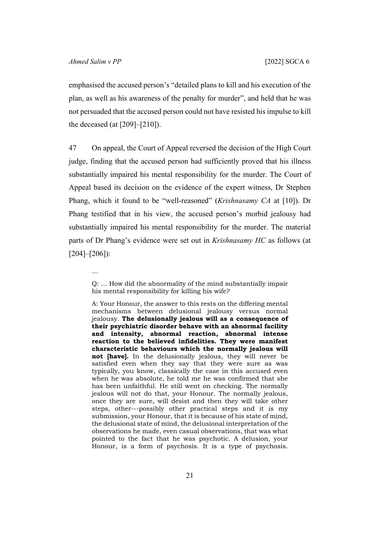emphasised the accused person's "detailed plans to kill and his execution of the plan, as well as his awareness of the penalty for murder", and held that he was not persuaded that the accused person could not have resisted his impulse to kill the deceased (at  $[209]$ – $[210]$ ).

47 On appeal, the Court of Appeal reversed the decision of the High Court judge, finding that the accused person had sufficiently proved that his illness substantially impaired his mental responsibility for the murder. The Court of Appeal based its decision on the evidence of the expert witness, Dr Stephen Phang, which it found to be "well-reasoned" (*Krishnasamy CA* at [10]). Dr Phang testified that in his view, the accused person's morbid jealousy had substantially impaired his mental responsibility for the murder. The material parts of Dr Phang's evidence were set out in *Krishnasamy HC* as follows (at  $[204]$ – $[206]$ :

A: Your Honour, the answer to this rests on the differing mental mechanisms between delusional jealousy versus normal jealousy. **The delusionally jealous will as a consequence of their psychiatric disorder behave with an abnormal facility and intensity, abnormal reaction, abnormal intense reaction to the believed infidelities. They were manifest characteristic behaviours which the normally jealous will not [have].** In the delusionally jealous, they will never be satisfied even when they say that they were sure as was typically, you know, classically the case in this accused even when he was absolute, he told me he was confirmed that she has been unfaithful. He still went on checking. The normally jealous will not do that, your Honour. The normally jealous, once they are sure, will desist and then they will take other steps, other---possibly other practical steps and it is my submission, your Honour, that it is because of his state of mind, the delusional state of mind, the delusional interpretation of the observations he made, even casual observations, that was what pointed to the fact that he was psychotic. A delusion, your Honour, is a form of psychosis. It is a type of psychosis.

<sup>…</sup> Q: … How did the abnormality of the mind substantially impair his mental responsibility for killing his wife?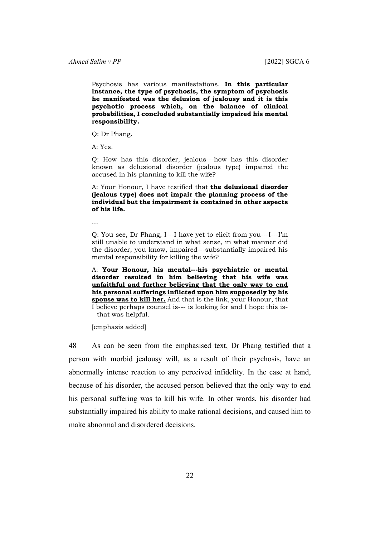Psychosis has various manifestations. **In this particular instance, the type of psychosis, the symptom of psychosis he manifested was the delusion of jealousy and it is this psychotic process which, on the balance of clinical probabilities, I concluded substantially impaired his mental responsibility.**

Q: Dr Phang.

A: Yes.

Q: How has this disorder, jealous---how has this disorder known as delusional disorder (jealous type) impaired the accused in his planning to kill the wife?

A: Your Honour, I have testified that **the delusional disorder (jealous type) does not impair the planning process of the individual but the impairment is contained in other aspects of his life.**

…

Q: You see, Dr Phang, I---I have yet to elicit from you---I---I'm still unable to understand in what sense, in what manner did the disorder, you know, impaired---substantially impaired his mental responsibility for killing the wife?

A: **Your Honour, his mental---his psychiatric or mental disorder resulted in him believing that his wife was unfaithful and further believing that the only way to end his personal sufferings inflicted upon him supposedly by his spouse was to kill her.** And that is the link, your Honour, that I believe perhaps counsel is--- is looking for and I hope this is- --that was helpful.

[emphasis added]

48 As can be seen from the emphasised text, Dr Phang testified that a person with morbid jealousy will, as a result of their psychosis, have an abnormally intense reaction to any perceived infidelity. In the case at hand, because of his disorder, the accused person believed that the only way to end his personal suffering was to kill his wife. In other words, his disorder had substantially impaired his ability to make rational decisions, and caused him to make abnormal and disordered decisions.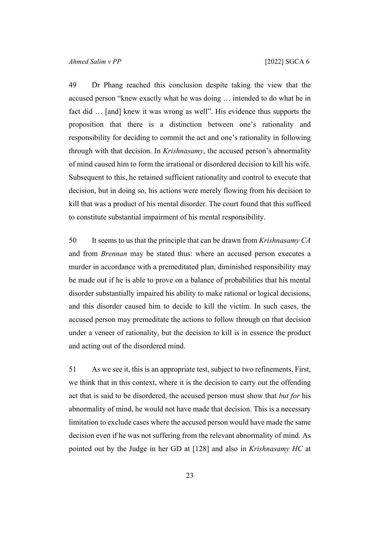49 Dr Phang reached this conclusion despite taking the view that the accused person "knew exactly what he was doing … intended to do what he in fact did … [and] knew it was wrong as well". His evidence thus supports the proposition that there is a distinction between one's rationality and responsibility for deciding to commit the act and one's rationality in following through with that decision. In *Krishnasamy*, the accused person's abnormality of mind caused him to form the irrational or disordered decision to kill his wife. Subsequent to this, he retained sufficient rationality and control to execute that decision, but in doing so, his actions were merely flowing from his decision to kill that was a product of his mental disorder. The court found that this sufficed to constitute substantial impairment of his mental responsibility.

50 It seems to us that the principle that can be drawn from *Krishnasamy CA*  and from *Brennan* may be stated thus: where an accused person executes a murder in accordance with a premeditated plan, diminished responsibility may be made out if he is able to prove on a balance of probabilities that his mental disorder substantially impaired his ability to make rational or logical decisions, and this disorder caused him to decide to kill the victim. In such cases, the accused person may premeditate the actions to follow through on that decision under a veneer of rationality, but the decision to kill is in essence the product and acting out of the disordered mind.

51 As we see it, this is an appropriate test, subject to two refinements. First, we think that in this context, where it is the decision to carry out the offending act that is said to be disordered, the accused person must show that *but for* his abnormality of mind, he would not have made that decision. This is a necessary limitation to exclude cases where the accused person would have made the same decision even if he was not suffering from the relevant abnormality of mind. As pointed out by the Judge in her GD at [128] and also in *Krishnasamy HC* at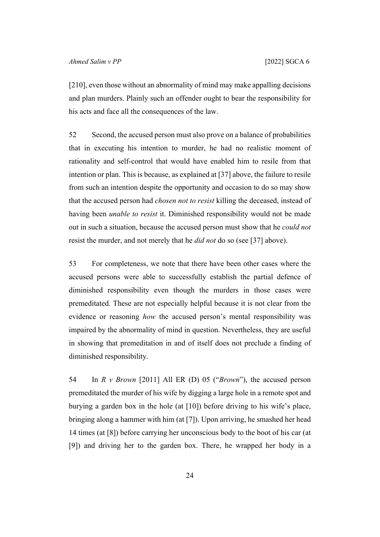[210], even those without an abnormality of mind may make appalling decisions and plan murders. Plainly such an offender ought to bear the responsibility for his acts and face all the consequences of the law.

52 Second, the accused person must also prove on a balance of probabilities that in executing his intention to murder, he had no realistic moment of rationality and self-control that would have enabled him to resile from that intention or plan. This is because, as explained at [\[37](#page-17-0)] above, the failure to resile from such an intention despite the opportunity and occasion to do so may show that the accused person had *chosen not to resist* killing the deceased, instead of having been *unable to resist* it. Diminished responsibility would not be made out in such a situation, because the accused person must show that he *could not* resist the murder, and not merely that he *did not* do so (see [[37\]](#page-17-0) above).

53 For completeness, we note that there have been other cases where the accused persons were able to successfully establish the partial defence of diminished responsibility even though the murders in those cases were premeditated. These are not especially helpful because it is not clear from the evidence or reasoning *how* the accused person's mental responsibility was impaired by the abnormality of mind in question. Nevertheless, they are useful in showing that premeditation in and of itself does not preclude a finding of diminished responsibility.

54 In *R v Brown* [2011] All ER (D) 05 ("*Brown*"), the accused person premeditated the murder of his wife by digging a large hole in a remote spot and burying a garden box in the hole (at [10]) before driving to his wife's place, bringing along a hammer with him (at [7]). Upon arriving, he smashed her head 14 times (at [8]) before carrying her unconscious body to the boot of his car (at [9]) and driving her to the garden box. There, he wrapped her body in a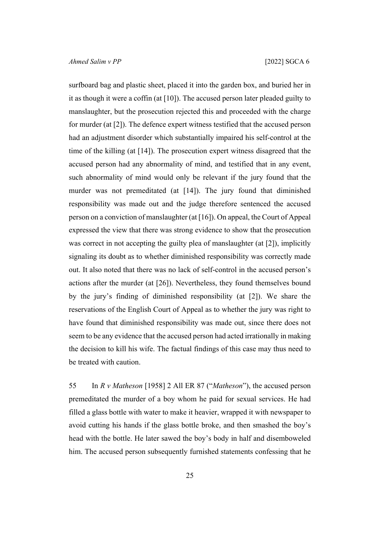surfboard bag and plastic sheet, placed it into the garden box, and buried her in it as though it were a coffin (at  $[10]$ ). The accused person later pleaded guilty to manslaughter, but the prosecution rejected this and proceeded with the charge for murder (at [2]). The defence expert witness testified that the accused person had an adjustment disorder which substantially impaired his self-control at the time of the killing (at [14]). The prosecution expert witness disagreed that the accused person had any abnormality of mind, and testified that in any event, such abnormality of mind would only be relevant if the jury found that the murder was not premeditated (at [14]). The jury found that diminished responsibility was made out and the judge therefore sentenced the accused person on a conviction of manslaughter (at [16]). On appeal, the Court of Appeal expressed the view that there was strong evidence to show that the prosecution was correct in not accepting the guilty plea of manslaughter (at [2]), implicitly signaling its doubt as to whether diminished responsibility was correctly made out. It also noted that there was no lack of self-control in the accused person's actions after the murder (at [26]). Nevertheless, they found themselves bound by the jury's finding of diminished responsibility (at [2]). We share the reservations of the English Court of Appeal as to whether the jury was right to have found that diminished responsibility was made out, since there does not seem to be any evidence that the accused person had acted irrationally in making the decision to kill his wife. The factual findings of this case may thus need to be treated with caution.

55 In *R v Matheson* [1958] 2 All ER 87 ("*Matheson*"), the accused person premeditated the murder of a boy whom he paid for sexual services. He had filled a glass bottle with water to make it heavier, wrapped it with newspaper to avoid cutting his hands if the glass bottle broke, and then smashed the boy's head with the bottle. He later sawed the boy's body in half and disemboweled him. The accused person subsequently furnished statements confessing that he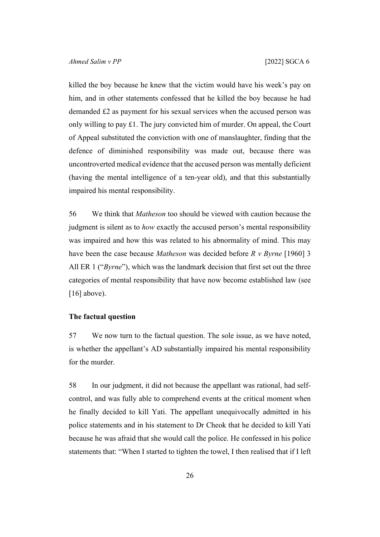killed the boy because he knew that the victim would have his week's pay on him, and in other statements confessed that he killed the boy because he had demanded £2 as payment for his sexual services when the accused person was only willing to pay £1. The jury convicted him of murder. On appeal, the Court of Appeal substituted the conviction with one of manslaughter, finding that the defence of diminished responsibility was made out, because there was uncontroverted medical evidence that the accused person was mentally deficient (having the mental intelligence of a ten-year old), and that this substantially impaired his mental responsibility.

56 We think that *Matheson* too should be viewed with caution because the judgment is silent as to *how* exactly the accused person's mental responsibility was impaired and how this was related to his abnormality of mind. This may have been the case because *Matheson* was decided before *R v Byrne* [1960] 3 All ER 1 ("*Byrne*"), which was the landmark decision that first set out the three categories of mental responsibility that have now become established law (see  $[16]$  $[16]$  above).

#### **The factual question**

57 We now turn to the factual question. The sole issue, as we have noted, is whether the appellant's AD substantially impaired his mental responsibility for the murder.

<span id="page-27-0"></span>58 In our judgment, it did not because the appellant was rational, had selfcontrol, and was fully able to comprehend events at the critical moment when he finally decided to kill Yati. The appellant unequivocally admitted in his police statements and in his statement to Dr Cheok that he decided to kill Yati because he was afraid that she would call the police. He confessed in his police statements that: "When I started to tighten the towel, I then realised that if I left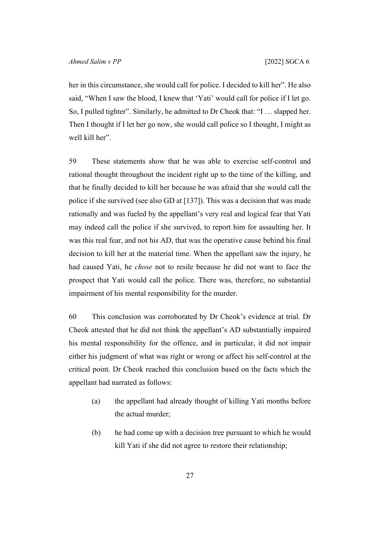her in this circumstance, she would call for police. I decided to kill her". He also said, "When I saw the blood, I knew that 'Yati' would call for police if I let go. So, I pulled tighter". Similarly, he admitted to Dr Cheok that: "I … slapped her. Then I thought if I let her go now, she would call police so I thought, I might as well kill her".

<span id="page-28-0"></span>59 These statements show that he was able to exercise self-control and rational thought throughout the incident right up to the time of the killing, and that he finally decided to kill her because he was afraid that she would call the police if she survived (see also GD at [137]). This was a decision that was made rationally and was fueled by the appellant's very real and logical fear that Yati may indeed call the police if she survived, to report him for assaulting her. It was this real fear, and not his AD, that was the operative cause behind his final decision to kill her at the material time. When the appellant saw the injury, he had caused Yati, he *chose* not to resile because he did not want to face the prospect that Yati would call the police. There was, therefore, no substantial impairment of his mental responsibility for the murder.

<span id="page-28-1"></span>60 This conclusion was corroborated by Dr Cheok's evidence at trial. Dr Cheok attested that he did not think the appellant's AD substantially impaired his mental responsibility for the offence, and in particular, it did not impair either his judgment of what was right or wrong or affect his self-control at the critical point. Dr Cheok reached this conclusion based on the facts which the appellant had narrated as follows:

- (a) the appellant had already thought of killing Yati months before the actual murder;
- (b) he had come up with a decision tree pursuant to which he would kill Yati if she did not agree to restore their relationship;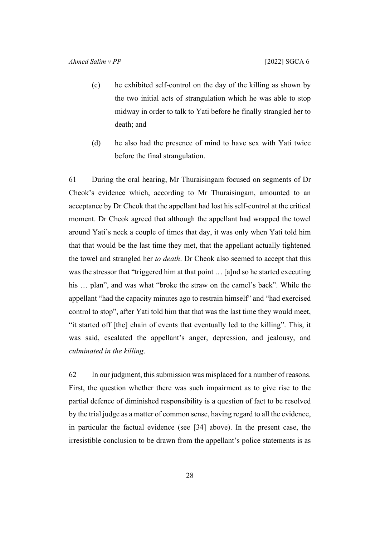- (c) he exhibited self-control on the day of the killing as shown by the two initial acts of strangulation which he was able to stop midway in order to talk to Yati before he finally strangled her to death; and
- (d) he also had the presence of mind to have sex with Yati twice before the final strangulation.

61 During the oral hearing, Mr Thuraisingam focused on segments of Dr Cheok's evidence which, according to Mr Thuraisingam, amounted to an acceptance by Dr Cheok that the appellant had lost his self-control at the critical moment. Dr Cheok agreed that although the appellant had wrapped the towel around Yati's neck a couple of times that day, it was only when Yati told him that that would be the last time they met, that the appellant actually tightened the towel and strangled her *to death*. Dr Cheok also seemed to accept that this was the stressor that "triggered him at that point … [a]nd so he started executing his … plan", and was what "broke the straw on the camel's back". While the appellant "had the capacity minutes ago to restrain himself" and "had exercised control to stop", after Yati told him that that was the last time they would meet, "it started off [the] chain of events that eventually led to the killing". This, it was said, escalated the appellant's anger, depression, and jealousy, and *culminated in the killing*.

62 In our judgment, this submission was misplaced for a number of reasons. First, the question whether there was such impairment as to give rise to the partial defence of diminished responsibility is a question of fact to be resolved by the trial judge as a matter of common sense, having regard to all the evidence, in particular the factual evidence (see [\[34](#page-15-0)] above). In the present case, the irresistible conclusion to be drawn from the appellant's police statements is as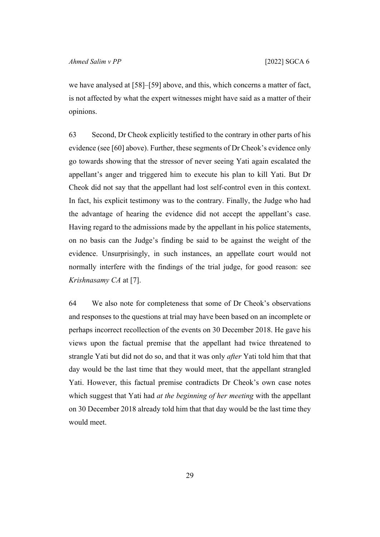we have analysed at [[58\]](#page-27-0)–[[59\]](#page-28-0) above, and this, which concerns a matter of fact, is not affected by what the expert witnesses might have said as a matter of their opinions.

63 Second, Dr Cheok explicitly testified to the contrary in other parts of his evidence (see [[60\]](#page-28-1) above). Further, these segments of Dr Cheok's evidence only go towards showing that the stressor of never seeing Yati again escalated the appellant's anger and triggered him to execute his plan to kill Yati. But Dr Cheok did not say that the appellant had lost self-control even in this context. In fact, his explicit testimony was to the contrary. Finally, the Judge who had the advantage of hearing the evidence did not accept the appellant's case. Having regard to the admissions made by the appellant in his police statements, on no basis can the Judge's finding be said to be against the weight of the evidence. Unsurprisingly, in such instances, an appellate court would not normally interfere with the findings of the trial judge, for good reason: see *Krishnasamy CA* at [7].

<span id="page-30-0"></span>64 We also note for completeness that some of Dr Cheok's observations and responses to the questions at trial may have been based on an incomplete or perhaps incorrect recollection of the events on 30 December 2018. He gave his views upon the factual premise that the appellant had twice threatened to strangle Yati but did not do so, and that it was only *after* Yati told him that that day would be the last time that they would meet, that the appellant strangled Yati. However, this factual premise contradicts Dr Cheok's own case notes which suggest that Yati had *at the beginning of her meeting* with the appellant on 30 December 2018 already told him that that day would be the last time they would meet.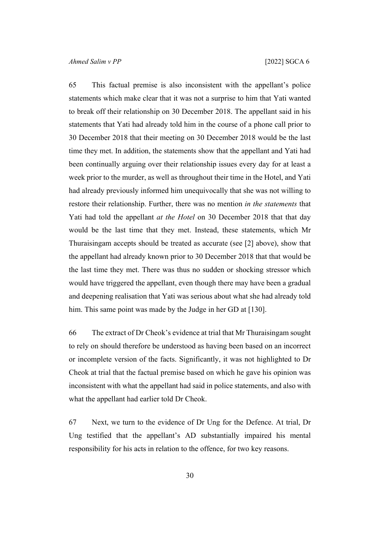65 This factual premise is also inconsistent with the appellant's police statements which make clear that it was not a surprise to him that Yati wanted to break off their relationship on 30 December 2018. The appellant said in his statements that Yati had already told him in the course of a phone call prior to 30 December 2018 that their meeting on 30 December 2018 would be the last time they met. In addition, the statements show that the appellant and Yati had been continually arguing over their relationship issues every day for at least a week prior to the murder, as well as throughout their time in the Hotel, and Yati had already previously informed him unequivocally that she was not willing to restore their relationship. Further, there was no mention *in the statements* that Yati had told the appellant *at the Hotel* on 30 December 2018 that that day would be the last time that they met. Instead, these statements, which Mr Thuraisingam accepts should be treated as accurate (see [[2\]](#page-3-0) above), show that the appellant had already known prior to 30 December 2018 that that would be the last time they met. There was thus no sudden or shocking stressor which would have triggered the appellant, even though there may have been a gradual and deepening realisation that Yati was serious about what she had already told him. This same point was made by the Judge in her GD at [130].

<span id="page-31-0"></span>66 The extract of Dr Cheok's evidence at trial that Mr Thuraisingam sought to rely on should therefore be understood as having been based on an incorrect or incomplete version of the facts. Significantly, it was not highlighted to Dr Cheok at trial that the factual premise based on which he gave his opinion was inconsistent with what the appellant had said in police statements, and also with what the appellant had earlier told Dr Cheok.

67 Next, we turn to the evidence of Dr Ung for the Defence. At trial, Dr Ung testified that the appellant's AD substantially impaired his mental responsibility for his acts in relation to the offence, for two key reasons.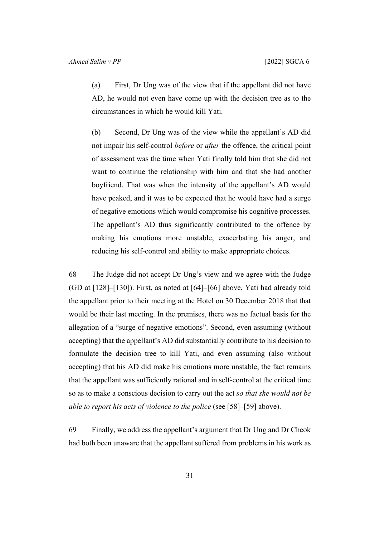(a) First, Dr Ung was of the view that if the appellant did not have AD, he would not even have come up with the decision tree as to the circumstances in which he would kill Yati.

(b) Second, Dr Ung was of the view while the appellant's AD did not impair his self-control *before* or *after* the offence, the critical point of assessment was the time when Yati finally told him that she did not want to continue the relationship with him and that she had another boyfriend. That was when the intensity of the appellant's AD would have peaked, and it was to be expected that he would have had a surge of negative emotions which would compromise his cognitive processes. The appellant's AD thus significantly contributed to the offence by making his emotions more unstable, exacerbating his anger, and reducing his self-control and ability to make appropriate choices.

68 The Judge did not accept Dr Ung's view and we agree with the Judge (GD at [128]–[130]). First, as noted at [\[64](#page-30-0)]–[\[66](#page-31-0)] above, Yati had already told the appellant prior to their meeting at the Hotel on 30 December 2018 that that would be their last meeting. In the premises, there was no factual basis for the allegation of a "surge of negative emotions". Second, even assuming (without accepting) that the appellant's AD did substantially contribute to his decision to formulate the decision tree to kill Yati, and even assuming (also without accepting) that his AD did make his emotions more unstable, the fact remains that the appellant was sufficiently rational and in self-control at the critical time so as to make a conscious decision to carry out the act *so that she would not be able to report his acts of violence to the police* (see [\[58](#page-27-0)]–[\[59](#page-28-0)] above).

69 Finally, we address the appellant's argument that Dr Ung and Dr Cheok had both been unaware that the appellant suffered from problems in his work as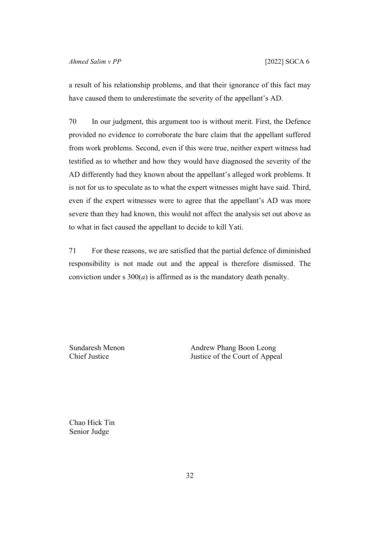a result of his relationship problems, and that their ignorance of this fact may have caused them to underestimate the severity of the appellant's AD.

70 In our judgment, this argument too is without merit. First, the Defence provided no evidence to corroborate the bare claim that the appellant suffered from work problems. Second, even if this were true, neither expert witness had testified as to whether and how they would have diagnosed the severity of the AD differently had they known about the appellant's alleged work problems. It is not for us to speculate as to what the expert witnesses might have said. Third, even if the expert witnesses were to agree that the appellant's AD was more severe than they had known, this would not affect the analysis set out above as to what in fact caused the appellant to decide to kill Yati.

71 For these reasons, we are satisfied that the partial defence of diminished responsibility is not made out and the appeal is therefore dismissed. The conviction under s  $300(a)$  is affirmed as is the mandatory death penalty.

Sundaresh Menon Chief Justice

Andrew Phang Boon Leong Justice of the Court of Appeal

Chao Hick Tin Senior Judge